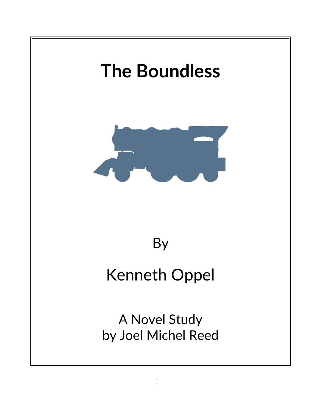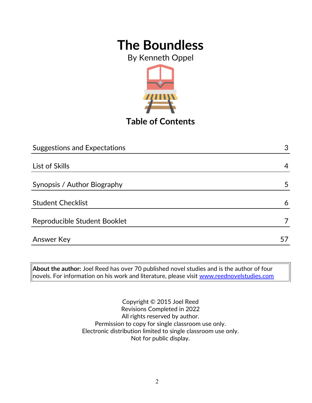By Kenneth Oppel



**Table of Contents**

| <b>Suggestions and Expectations</b> | 3  |
|-------------------------------------|----|
|                                     |    |
| List of Skills                      | 4  |
| Synopsis / Author Biography         | 5  |
| <b>Student Checklist</b>            | 6  |
| Reproducible Student Booklet        |    |
| <b>Answer Key</b>                   | 51 |

**About the author:** Joel Reed has over 70 published novel studies and is the author of four novels. For information on his work and literature, please visit [www.reednovelstudies.com](http://www.reednovelstudies.com/)

> Copyright © 2015 Joel Reed Revisions Completed in 2022 All rights reserved by author. Permission to copy for single classroom use only. Electronic distribution limited to single classroom use only. Not for public display.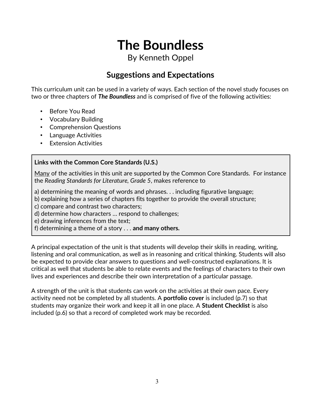By Kenneth Oppel

### **Suggestions and Expectations**

This curriculum unit can be used in a variety of ways. Each section of the novel study focuses on two or three chapters of *The Boundless* and is comprised of five of the following activities:

- Before You Read
- Vocabulary Building
- Comprehension Questions
- Language Activities
- Extension Activities

#### **Links with the Common Core Standards (U.S.)**

Many of the activities in this unit are supported by the Common Core Standards. For instance the *Reading Standards for Literature, Grade 5*, makes reference to

a) determining the meaning of words and phrases. . . including figurative language;

b) explaining how a series of chapters fits together to provide the overall structure;

c) compare and contrast two characters;

d) determine how characters … respond to challenges;

e) drawing inferences from the text;

f) determining a theme of a story . . . **and many others.**

A principal expectation of the unit is that students will develop their skills in reading, writing, listening and oral communication, as well as in reasoning and critical thinking. Students will also be expected to provide clear answers to questions and well-constructed explanations. It is critical as well that students be able to relate events and the feelings of characters to their own lives and experiences and describe their own interpretation of a particular passage.

A strength of the unit is that students can work on the activities at their own pace. Every activity need not be completed by all students. A **portfolio cover** is included (p.7) so that students may organize their work and keep it all in one place. A **Student Checklist** is also included (p.6) so that a record of completed work may be recorded.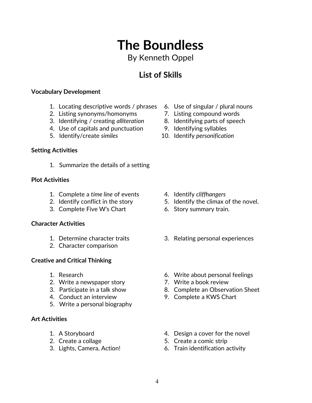## 4

# **The Boundless**

### By Kenneth Oppel

## **List of Skills**

### **Vocabulary Development**

- 1. Locating descriptive words / phrases 6. Use of singular / plural nouns
- 2. Listing synonyms/homonyms 7. Listing compound words
- 3. Identifying / creating *alliteration* 8. Identifying parts of speech
- 4. Use of capitals and punctuation 9. Identifying syllables
- 

### **Setting Activities**

1. Summarize the details of a setting

#### **Plot Activities**

- 1. Complete a *time line* of events 4. Identify *cliffhangers*
- 
- 3. Complete Five W's Chart 6. Story summary train.

#### **Character Activities**

- 
- 2. Character comparison

#### **Creative and Critical Thinking**

- 
- 2. Write a newspaper story **7. Write a book review**
- 
- 
- 5. Write a personal biography

#### **Art Activities**

- 
- 
- 
- 
- 
- 
- 
- 5. Identify/create *similes* 10. Identify *personification*

- 
- 2. Identify conflict in the story 5. Identify the climax of the novel.
	-
- 1. Determine character traits 3. Relating personal experiences
- 1. Research 6. Write about personal feelings
	-
- 3. Participate in a talk show 8. Complete an Observation Sheet
- 4. Conduct an interview 9. Complete a KWS Chart
- 1. A Storyboard **1.** A Storyboard **1.** A Storyboard
- 2. Create a collage 5. Create a comic strip
- 3. Lights, Camera, Action! 6. Train identification activity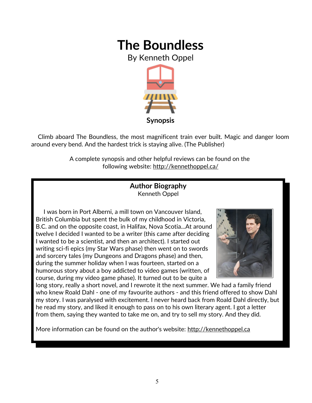By Kenneth Oppel



 Climb aboard The Boundless, the most magnificent train ever built. Magic and danger loom around every bend. And the hardest trick is staying alive. (The Publisher)

> A complete synopsis and other helpful reviews can be found on the following website: http://kennethoppel.ca/

#### **Author Biography** Kenneth Oppel

 I was born in Port Alberni, a mill town on Vancouver Island, British Columbia but spent the bulk of my childhood in Victoria, B.C. and on the opposite coast, in Halifax, Nova Scotia...At around twelve I decided I wanted to be a writer (this came after deciding I wanted to be a scientist, and then an architect). I started out writing sci-fi epics (my Star Wars phase) then went on to swords and sorcery tales (my Dungeons and Dragons phase) and then, during the summer holiday when I was fourteen, started on a humorous story about a boy addicted to video games (written, of course, during my video game phase). It turned out to be quite a



long story, really a short novel, and I rewrote it the next summer. We had a family friend who knew Roald Dahl - one of my favourite authors - and this friend offered to show Dahl my story. I was paralysed with excitement. I never heard back from Roald Dahl directly, but he read my story, and liked it enough to pass on to his own literary agent. I got a letter from them, saying they wanted to take me on, and try to sell my story. And they did.

More information can be found on the author's website: http://kennethoppel.ca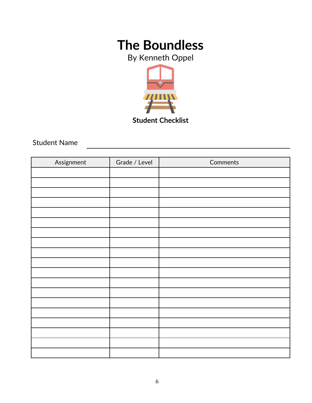By Kenneth Oppel



**Student Checklist**

Student Name

| Assignment | Grade / Level | Comments |
|------------|---------------|----------|
|            |               |          |
|            |               |          |
|            |               |          |
|            |               |          |
|            |               |          |
|            |               |          |
|            |               |          |
|            |               |          |
|            |               |          |
|            |               |          |
|            |               |          |
|            |               |          |
|            |               |          |
|            |               |          |
|            |               |          |
|            |               |          |
|            |               |          |
|            |               |          |
|            |               |          |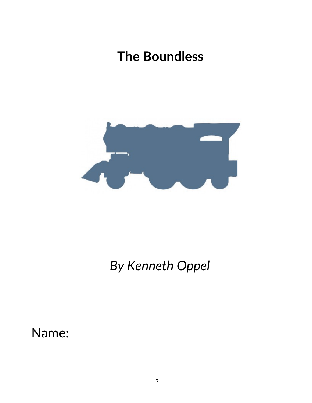

## *By Kenneth Oppel*

Name: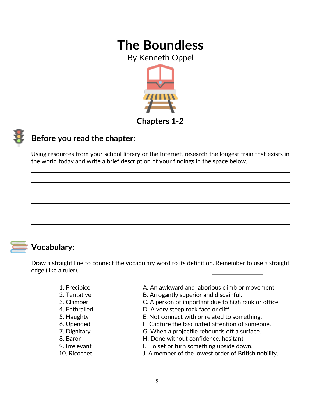By Kenneth Oppel





### **Before you read the chapter**:

Using resources from your school library or the Internet, research the longest train that exists in the world today and write a brief description of your findings in the space below.

### **Vocabulary:**

Draw a straight line to connect the vocabulary word to its definition. Remember to use a straight edge (like a ruler).

- 
- 
- 
- 
- 
- 
- 
- 
- 
- 
- 1. Precipice A. An awkward and laborious climb or movement.
- 2. Tentative **B.** Arrogantly superior and disdainful.
- 3. Clamber C. A person of important due to high rank or office.
- 4. Enthralled D. A very steep rock face or cliff.
- 5. Haughty E. Not connect with or related to something.
- 6. Upended F. Capture the fascinated attention of someone.
- 7. Dignitary G. When a projectile rebounds off a surface.
- 8. Baron **H. Done without confidence**, hesitant.
- 9. Irrelevant The I. To set or turn something upside down.
- 10. Ricochet J. A member of the lowest order of British nobility.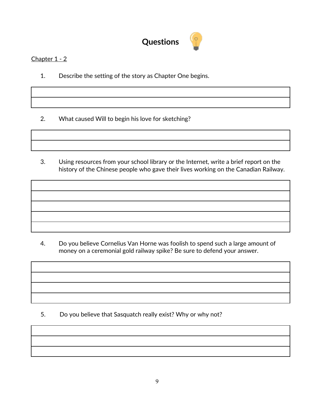

#### Chapter 1 - 2

1. Describe the setting of the story as Chapter One begins.

2. What caused Will to begin his love for sketching?

3. Using resources from your school library or the Internet, write a brief report on the history of the Chinese people who gave their lives working on the Canadian Railway.

4. Do you believe Cornelius Van Horne was foolish to spend such a large amount of money on a ceremonial gold railway spike? Be sure to defend your answer.

5. Do you believe that Sasquatch really exist? Why or why not?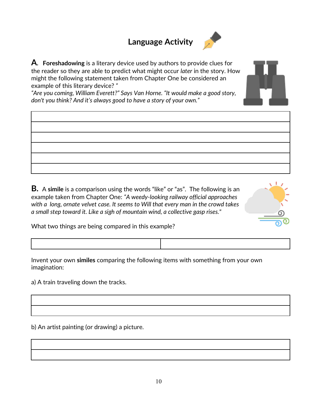### **Language Activity**



**A. Foreshadowing** is a literary device used by authors to provide clues for the reader so they are able to predict what might occur *later* in the story. How might the following statement taken from Chapter One be considered an example of this literary device? *"*

*"Are you coming, William Everett?" Says Van Horne. "It would make a good story, don't you think? And it's always good to have a story of your own."* 

**B.** A **simile** is a comparison using the words "like" or "as". The following is an example taken from Chapter One: *"A weedy-looking railway official approaches with a long, ornate velvet case. It seems to Will that every man in the crowd takes a small step toward it. Like a sigh of mountain wind, a collective gasp rises."*



What two things are being compared in this example?

Invent your own **similes** comparing the following items with something from your own imagination:

a) A train traveling down the tracks.

b) An artist painting (or drawing) a picture.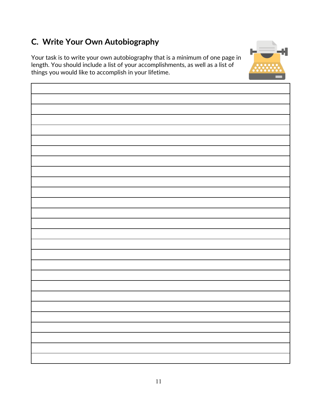### **C. Write Your Own Autobiography**

Your task is to write your own autobiography that is a minimum of one page in length. You should include a list of your accomplishments, as well as a list of things you would like to accomplish in your lifetime.